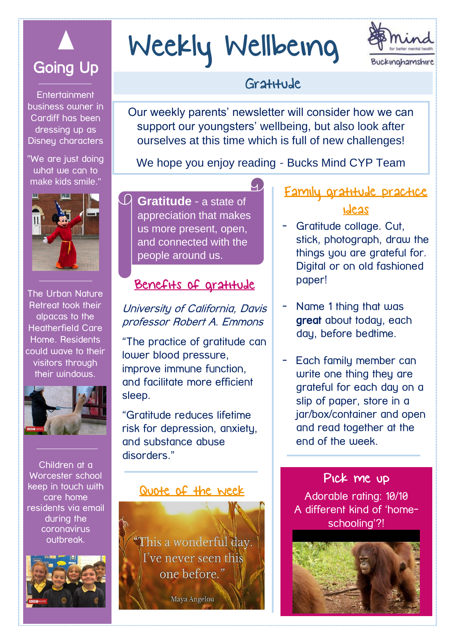

**Entertainment** business owner in Cardiff has been dressing up as Disneu characters

"We are just doing what we can to make kids smile."



The Urban Nature Retreat took their alpacas to the Heatherfield Care Home. Residents could wave to their visitors through their windows.



Children at a Worcester school keep in touch with care home residents via email during the coronavirus outbreak.



# Weekly Wellbeing



# Gratitude

Our weekly parents' newsletter will consider how we can support our youngsters' wellbeing, but also look after ourselves at this time which is full of new challenges!

We hope you enjoy reading - Bucks Mind CYP Team

 $\overline{\mathcal{L}}$ 

**Gratitude** - a state of appreciation that makes us more present, open, and connected with the people around us.

## Benefits of gratitude

#### University of California, Davis professor Robert A. Emmons

"The practice of gratitude can lower blood pressure, improve immune function, and facilitate more efficient sleep.

"Gratitude reduces lifetime risk for depression, anxiety, and substance abuse disorders."

#### Quote of the week

This a wonderful day. I've never seen this one before."

Maya Angelou

## Family gratitude practice ideas

- Gratitude collage. Cut, stick, photograph, draw the things you are grateful for. Digital or on old fashioned paper!
- Name 1 thing that was great about today, each day, before bedtime.
- Each family member can write one thing they are grateful for each day on a slip of paper, store in a jar/box/container and open and read together at the end of the week.

Pick me up Adorable rating: 10/10 A different kind of 'homeschooling'?!